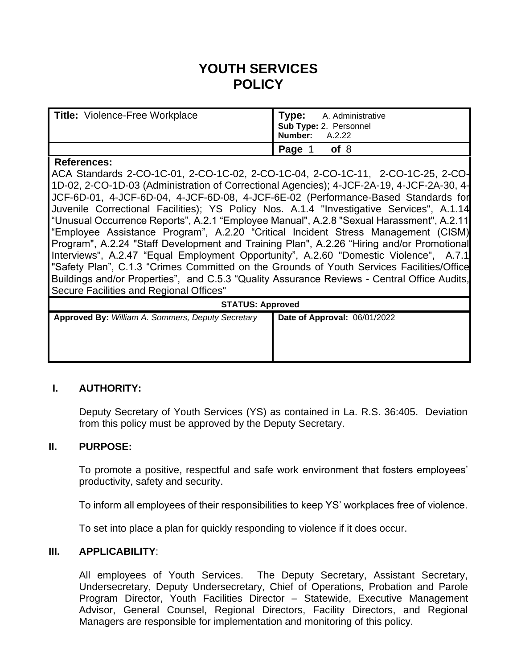# **YOUTH SERVICES POLICY**

| <b>Title: Violence-Free Workplace</b> | Type: A. Administrative<br>Sub Type: 2. Personnel<br>Number: A.2.22 |
|---------------------------------------|---------------------------------------------------------------------|
|                                       | Page 1 of 8                                                         |

#### **References:**

ACA Standards 2-CO-1C-01, 2-CO-1C-02, 2-CO-1C-04, 2-CO-1C-11, 2-CO-1C-25, 2-CO-1D-02, 2-CO-1D-03 (Administration of Correctional Agencies); 4-JCF-2A-19, 4-JCF-2A-30, 4- JCF-6D-01, 4-JCF-6D-04, 4-JCF-6D-08, 4-JCF-6E-02 (Performance-Based Standards for Juvenile Correctional Facilities); YS Policy Nos. A.1.4 "Investigative Services", A.1.14 "Unusual Occurrence Reports", A.2.1 "Employee Manual", A.2.8 "Sexual Harassment", A.2.11 "Employee Assistance Program", A.2.20 "Critical Incident Stress Management (CISM) Program", A.2.24 "Staff Development and Training Plan", A.2.26 "Hiring and/or Promotional Interviews", A.2.47 "Equal Employment Opportunity", A.2.60 "Domestic Violence", A.7.1 "Safety Plan", C.1.3 "Crimes Committed on the Grounds of Youth Services Facilities/Office Buildings and/or Properties", and C.5.3 "Quality Assurance Reviews - Central Office Audits, Secure Facilities and Regional Offices"

| <b>STATUS: Approved</b>                           |                              |
|---------------------------------------------------|------------------------------|
| Approved By: William A. Sommers, Deputy Secretary | Date of Approval: 06/01/2022 |
|                                                   |                              |
|                                                   |                              |
|                                                   |                              |

## **I. AUTHORITY:**

Deputy Secretary of Youth Services (YS) as contained in La. R.S. 36:405. Deviation from this policy must be approved by the Deputy Secretary.

#### **II. PURPOSE:**

To promote a positive, respectful and safe work environment that fosters employees' productivity, safety and security.

To inform all employees of their responsibilities to keep YS' workplaces free of violence.

To set into place a plan for quickly responding to violence if it does occur.

## **III. APPLICABILITY**:

All employees of Youth Services. The Deputy Secretary, Assistant Secretary, Undersecretary, Deputy Undersecretary, Chief of Operations, Probation and Parole Program Director, Youth Facilities Director – Statewide, Executive Management Advisor, General Counsel, Regional Directors, Facility Directors, and Regional Managers are responsible for implementation and monitoring of this policy.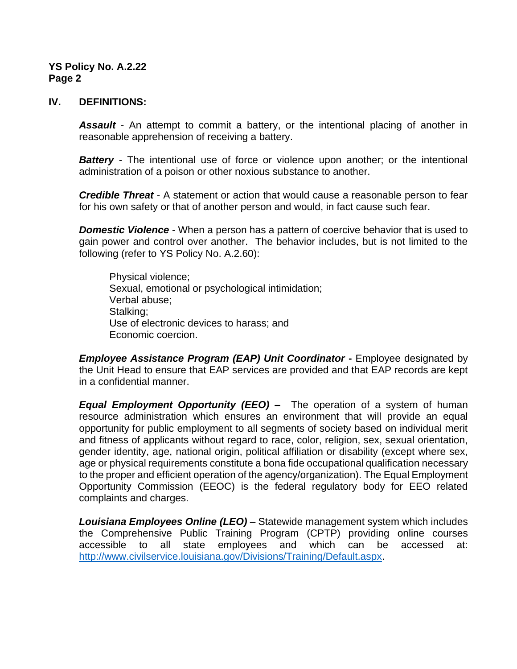#### **IV. DEFINITIONS:**

*Assault* - An attempt to commit a battery, or the intentional placing of another in reasonable apprehension of receiving a battery.

**Battery** - The intentional use of force or violence upon another; or the intentional administration of a poison or other noxious substance to another.

*Credible Threat* - A statement or action that would cause a reasonable person to fear for his own safety or that of another person and would, in fact cause such fear.

*Domestic Violence* - When a person has a pattern of coercive behavior that is used to gain power and control over another. The behavior includes, but is not limited to the following (refer to YS Policy No. A.2.60):

Physical violence; Sexual, emotional or psychological intimidation; Verbal abuse; Stalking; Use of electronic devices to harass; and Economic coercion.

*Employee Assistance Program (EAP) Unit Coordinator* **-** Employee designated by the Unit Head to ensure that EAP services are provided and that EAP records are kept in a confidential manner.

*Equal Employment Opportunity (EEO) –* The operation of a system of human resource administration which ensures an environment that will provide an equal opportunity for public employment to all segments of society based on individual merit and fitness of applicants without regard to race, color, religion, sex, sexual orientation, gender identity, age, national origin, political affiliation or disability (except where sex, age or physical requirements constitute a bona fide occupational qualification necessary to the proper and efficient operation of the agency/organization). The Equal Employment Opportunity Commission (EEOC) is the federal regulatory body for EEO related complaints and charges.

*Louisiana Employees Online (LEO)* – Statewide management system which includes the Comprehensive Public Training Program (CPTP) providing online courses accessible to all state employees and which can be accessed at: [http://www.civilservice.louisiana.gov/Divisions/Training/Default.aspx.](http://www.civilservice.louisiana.gov/Divisions/Training/Default.aspx)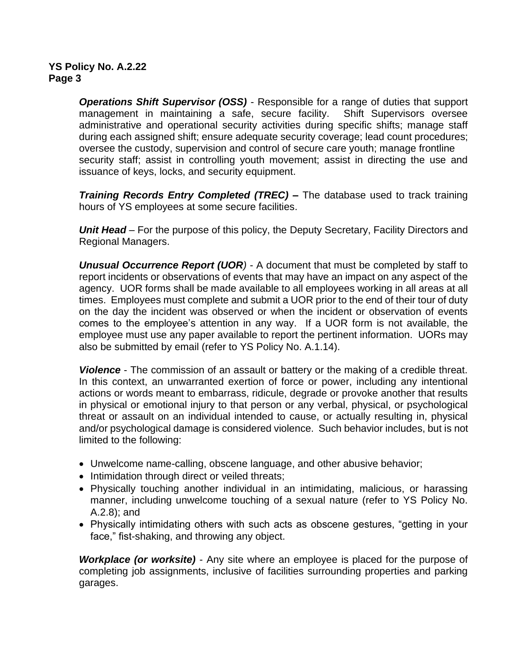*Operations Shift Supervisor (OSS)* - Responsible for a range of duties that support management in maintaining a safe, secure facility. Shift Supervisors oversee administrative and operational security activities during specific shifts; manage staff during each assigned shift; ensure adequate security coverage; lead count procedures; oversee the custody, supervision and control of secure care youth; manage frontline security staff; assist in controlling youth movement; assist in directing the use and issuance of keys, locks, and security equipment.

*Training Records Entry Completed (TREC) –* The database used to track training hours of YS employees at some secure facilities.

*Unit Head* – For the purpose of this policy, the Deputy Secretary, Facility Directors and Regional Managers.

*Unusual Occurrence Report (UOR)* - A document that must be completed by staff to report incidents or observations of events that may have an impact on any aspect of the agency. UOR forms shall be made available to all employees working in all areas at all times. Employees must complete and submit a UOR prior to the end of their tour of duty on the day the incident was observed or when the incident or observation of events comes to the employee's attention in any way. If a UOR form is not available, the employee must use any paper available to report the pertinent information. UORs may also be submitted by email (refer to YS Policy No. A.1.14).

*Violence* - The commission of an assault or battery or the making of a credible threat. In this context, an unwarranted exertion of force or power, including any intentional actions or words meant to embarrass, ridicule, degrade or provoke another that results in physical or emotional injury to that person or any verbal, physical, or psychological threat or assault on an individual intended to cause, or actually resulting in, physical and/or psychological damage is considered violence. Such behavior includes, but is not limited to the following:

- Unwelcome name-calling, obscene language, and other abusive behavior;
- Intimidation through direct or veiled threats;
- Physically touching another individual in an intimidating, malicious, or harassing manner, including unwelcome touching of a sexual nature (refer to YS Policy No. A.2.8); and
- Physically intimidating others with such acts as obscene gestures, "getting in your face," fist-shaking, and throwing any object.

*Workplace (or worksite)* - Any site where an employee is placed for the purpose of completing job assignments, inclusive of facilities surrounding properties and parking garages.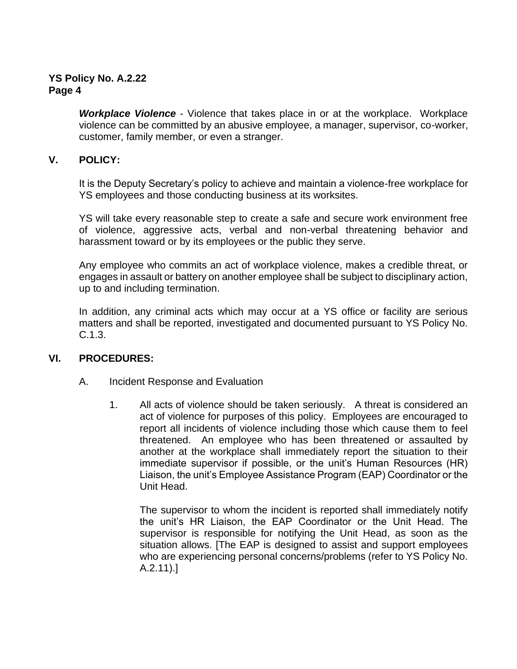*Workplace Violence* - Violence that takes place in or at the workplace. Workplace violence can be committed by an abusive employee, a manager, supervisor, co-worker, customer, family member, or even a stranger.

## **V. POLICY:**

It is the Deputy Secretary's policy to achieve and maintain a violence-free workplace for YS employees and those conducting business at its worksites.

YS will take every reasonable step to create a safe and secure work environment free of violence, aggressive acts, verbal and non-verbal threatening behavior and harassment toward or by its employees or the public they serve.

Any employee who commits an act of workplace violence, makes a credible threat, or engages in assault or battery on another employee shall be subject to disciplinary action, up to and including termination.

In addition, any criminal acts which may occur at a YS office or facility are serious matters and shall be reported, investigated and documented pursuant to YS Policy No. C.1.3.

## **VI. PROCEDURES:**

- A. Incident Response and Evaluation
	- 1. All acts of violence should be taken seriously. A threat is considered an act of violence for purposes of this policy. Employees are encouraged to report all incidents of violence including those which cause them to feel threatened. An employee who has been threatened or assaulted by another at the workplace shall immediately report the situation to their immediate supervisor if possible, or the unit's Human Resources (HR) Liaison, the unit's Employee Assistance Program (EAP) Coordinator or the Unit Head.

The supervisor to whom the incident is reported shall immediately notify the unit's HR Liaison, the EAP Coordinator or the Unit Head. The supervisor is responsible for notifying the Unit Head, as soon as the situation allows. [The EAP is designed to assist and support employees who are experiencing personal concerns/problems (refer to YS Policy No. A.2.11).]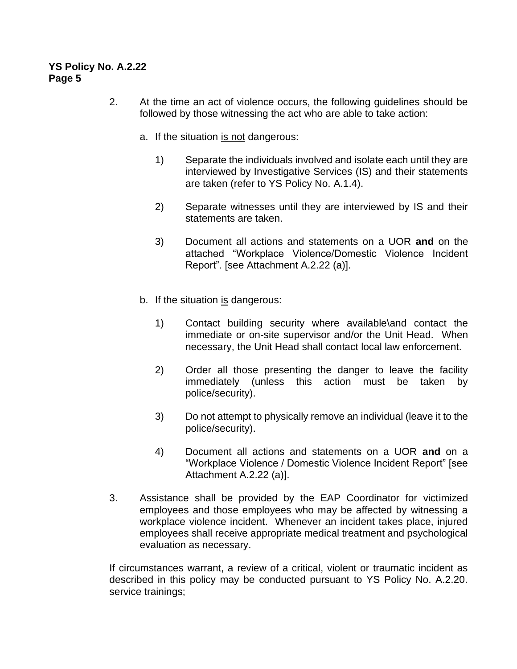- 2. At the time an act of violence occurs, the following guidelines should be followed by those witnessing the act who are able to take action:
	- a. If the situation is not dangerous:
		- 1) Separate the individuals involved and isolate each until they are interviewed by Investigative Services (IS) and their statements are taken (refer to YS Policy No. A.1.4).
		- 2) Separate witnesses until they are interviewed by IS and their statements are taken.
		- 3) Document all actions and statements on a UOR **and** on the attached "Workplace Violence/Domestic Violence Incident Report". [see Attachment A.2.22 (a)].
	- b. If the situation  $is$  dangerous:
		- 1) Contact building security where available\and contact the immediate or on-site supervisor and/or the Unit Head. When necessary, the Unit Head shall contact local law enforcement.
		- 2) Order all those presenting the danger to leave the facility immediately (unless this action must be taken by police/security).
		- 3) Do not attempt to physically remove an individual (leave it to the police/security).
		- 4) Document all actions and statements on a UOR **and** on a "Workplace Violence / Domestic Violence Incident Report" [see Attachment A.2.22 (a)].
- 3. Assistance shall be provided by the EAP Coordinator for victimized employees and those employees who may be affected by witnessing a workplace violence incident. Whenever an incident takes place, injured employees shall receive appropriate medical treatment and psychological evaluation as necessary.

If circumstances warrant, a review of a critical, violent or traumatic incident as described in this policy may be conducted pursuant to YS Policy No. A.2.20. service trainings;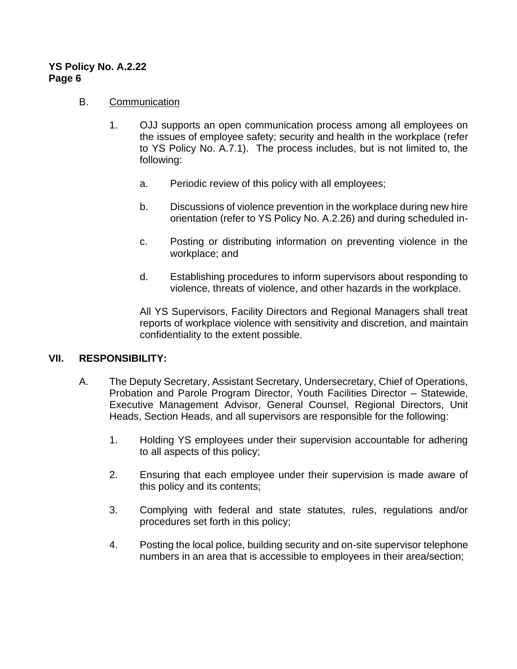#### B. Communication

- 1. OJJ supports an open communication process among all employees on the issues of employee safety; security and health in the workplace (refer to YS Policy No. A.7.1). The process includes, but is not limited to, the following:
	- a. Periodic review of this policy with all employees;
	- b. Discussions of violence prevention in the workplace during new hire orientation (refer to YS Policy No. A.2.26) and during scheduled in-
	- c. Posting or distributing information on preventing violence in the workplace; and
	- d. Establishing procedures to inform supervisors about responding to violence, threats of violence, and other hazards in the workplace.

All YS Supervisors, Facility Directors and Regional Managers shall treat reports of workplace violence with sensitivity and discretion, and maintain confidentiality to the extent possible.

#### **VII. RESPONSIBILITY:**

- A. The Deputy Secretary, Assistant Secretary, Undersecretary, Chief of Operations, Probation and Parole Program Director, Youth Facilities Director – Statewide, Executive Management Advisor, General Counsel, Regional Directors, Unit Heads, Section Heads, and all supervisors are responsible for the following:
	- 1. Holding YS employees under their supervision accountable for adhering to all aspects of this policy;
	- 2. Ensuring that each employee under their supervision is made aware of this policy and its contents;
	- 3. Complying with federal and state statutes, rules, regulations and/or procedures set forth in this policy;
	- 4. Posting the local police, building security and on-site supervisor telephone numbers in an area that is accessible to employees in their area/section;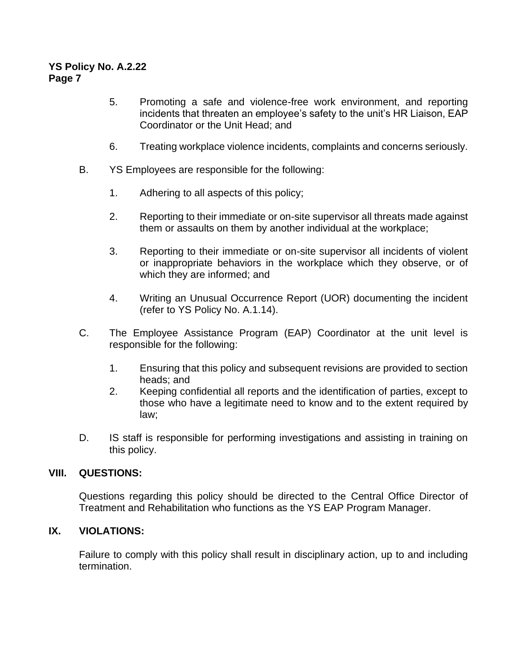- 5. Promoting a safe and violence-free work environment, and reporting incidents that threaten an employee's safety to the unit's HR Liaison, EAP Coordinator or the Unit Head; and
- 6. Treating workplace violence incidents, complaints and concerns seriously.
- B. YS Employees are responsible for the following:
	- 1. Adhering to all aspects of this policy;
	- 2. Reporting to their immediate or on-site supervisor all threats made against them or assaults on them by another individual at the workplace;
	- 3. Reporting to their immediate or on-site supervisor all incidents of violent or inappropriate behaviors in the workplace which they observe, or of which they are informed; and
	- 4. Writing an Unusual Occurrence Report (UOR) documenting the incident (refer to YS Policy No. A.1.14).
- C. The Employee Assistance Program (EAP) Coordinator at the unit level is responsible for the following:
	- 1. Ensuring that this policy and subsequent revisions are provided to section heads; and
	- 2. Keeping confidential all reports and the identification of parties, except to those who have a legitimate need to know and to the extent required by law;
- D. IS staff is responsible for performing investigations and assisting in training on this policy.

#### **VIII. QUESTIONS:**

Questions regarding this policy should be directed to the Central Office Director of Treatment and Rehabilitation who functions as the YS EAP Program Manager.

## **IX. VIOLATIONS:**

Failure to comply with this policy shall result in disciplinary action, up to and including termination.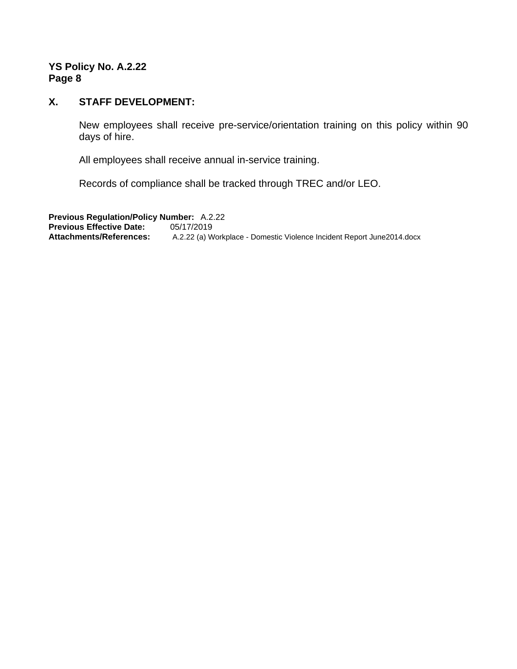#### **X. STAFF DEVELOPMENT:**

New employees shall receive pre-service/orientation training on this policy within 90 days of hire.

All employees shall receive annual in-service training.

Records of compliance shall be tracked through TREC and/or LEO.

**Previous Regulation/Policy Number:** A.2.22 **Previous Effective Date:** 05/17/2019<br>**Attachments/References:** A.2.22 (a) W A.2.22 (a) Workplace - Domestic Violence Incident Report June2014.docx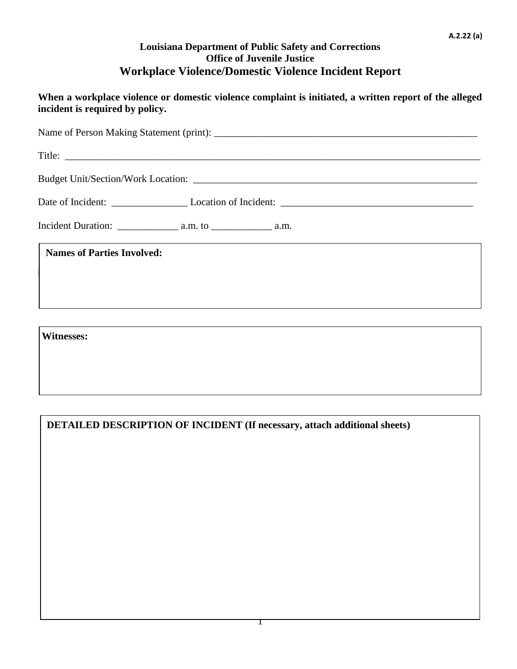## **Louisiana Department of Public Safety and Corrections Office of Juvenile Justice Workplace Violence/Domestic Violence Incident Report**

**When a workplace violence or domestic violence complaint is initiated, a written report of the alleged incident is required by policy.**

| <b>Names of Parties Involved:</b> |
|-----------------------------------|
|                                   |
|                                   |

**Witnesses:**

**DETAILED DESCRIPTION OF INCIDENT (If necessary, attach additional sheets)**